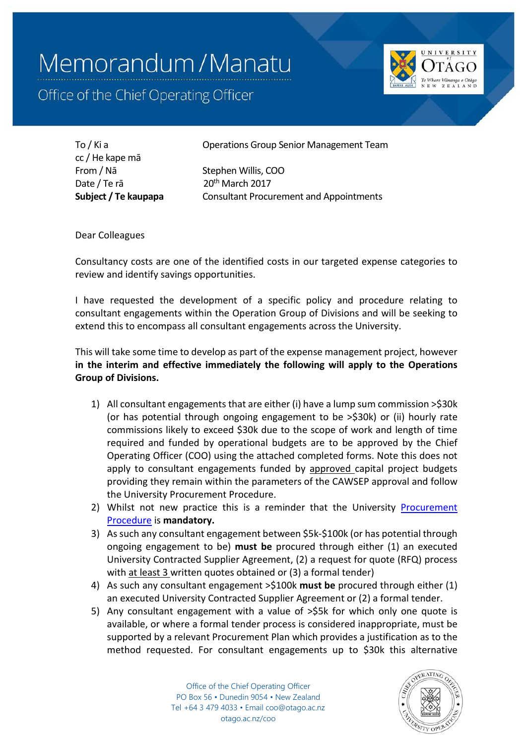## Memorandum / Manatu

Office of the Chief Operating Officer



cc / He kape mā From / Nā Stephen Willis, COO Date / Te rā 20<sup>th</sup> March 2017

To / Ki a Operations Group Senior Management Team

**Subject / Te kaupapa** Consultant Procurement and Appointments

Dear Colleagues

Consultancy costs are one of the identified costs in our targeted expense categories to review and identify savings opportunities.

I have requested the development of a specific policy and procedure relating to consultant engagements within the Operation Group of Divisions and will be seeking to extend this to encompass all consultant engagements across the University.

This will take some time to develop as part of the expense management project, however **in the interim and effective immediately the following will apply to the Operations Group of Divisions.**

- 1) All consultant engagements that are either (i) have a lump sum commission >\$30k (or has potential through ongoing engagement to be >\$30k) or (ii) hourly rate commissions likely to exceed \$30k due to the scope of work and length of time required and funded by operational budgets are to be approved by the Chief Operating Officer (COO) using the attached completed forms. Note this does not apply to consultant engagements funded by approved capital project budgets providing they remain within the parameters of the CAWSEP approval and follow the University Procurement Procedure.
- 2) Whilst not new practice this is a reminder that the University Procurement [Procedure](http://www.otago.ac.nz/administration/policies/otago003254.html) is **mandatory.**
- 3) As such any consultant engagement between \$5k-\$100k (or has potential through ongoing engagement to be) **must be** procured through either (1) an executed University Contracted Supplier Agreement, (2) a request for quote (RFQ) process with at least 3 written quotes obtained or (3) a formal tender)
- 4) As such any consultant engagement >\$100k **must be** procured through either (1) an executed University Contracted Supplier Agreement or (2) a formal tender.
- 5) Any consultant engagement with a value of >\$5k for which only one quote is available, or where a formal tender process is considered inappropriate, must be supported by a relevant Procurement Plan which provides a justification as to the method requested. For consultant engagements up to \$30k this alternative

Office of the Chief Operating Officer PO Box 56 • Dunedin 9054 • New Zealand Tel +64 3 479 4033 • Email coo@otago.ac.nz otago.ac.nz/coo